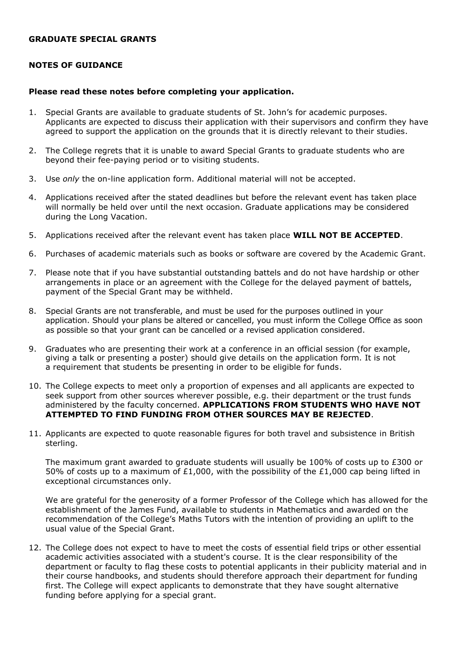## **GRADUATE SPECIAL GRANTS**

## **NOTES OF GUIDANCE**

## **Please read these notes before completing your application.**

- 1. Special Grants are available to graduate students of St. John's for academic purposes. Applicants are expected to discuss their application with their supervisors and confirm they have agreed to support the application on the grounds that it is directly relevant to their studies.
- 2. The College regrets that it is unable to award Special Grants to graduate students who are beyond their fee-paying period or to visiting students.
- 3. Use *only* the on-line application form. Additional material will not be accepted.
- 4. Applications received after the stated deadlines but before the relevant event has taken place will normally be held over until the next occasion. Graduate applications may be considered during the Long Vacation.
- 5. Applications received after the relevant event has taken place **WILL NOT BE ACCEPTED**.
- 6. Purchases of academic materials such as books or software are covered by the Academic Grant.
- 7. Please note that if you have substantial outstanding battels and do not have hardship or other arrangements in place or an agreement with the College for the delayed payment of battels, payment of the Special Grant may be withheld.
- 8. Special Grants are not transferable, and must be used for the purposes outlined in your application. Should your plans be altered or cancelled, you must inform the College Office as soon as possible so that your grant can be cancelled or a revised application considered.
- 9. Graduates who are presenting their work at a conference in an official session (for example, giving a talk or presenting a poster) should give details on the application form. It is not a requirement that students be presenting in order to be eligible for funds.
- 10. The College expects to meet only a proportion of expenses and all applicants are expected to seek support from other sources wherever possible, e.g. their department or the trust funds administered by the faculty concerned. **APPLICATIONS FROM STUDENTS WHO HAVE NOT ATTEMPTED TO FIND FUNDING FROM OTHER SOURCES MAY BE REJECTED**.
- 11. Applicants are expected to quote reasonable figures for both travel and subsistence in British sterling.

The maximum grant awarded to graduate students will usually be 100% of costs up to £300 or 50% of costs up to a maximum of £1,000, with the possibility of the £1,000 cap being lifted in exceptional circumstances only.

We are grateful for the generosity of a former Professor of the College which has allowed for the establishment of the James Fund, available to students in Mathematics and awarded on the recommendation of the College's Maths Tutors with the intention of providing an uplift to the usual value of the Special Grant.

12. The College does not expect to have to meet the costs of essential field trips or other essential academic activities associated with a student's course. It is the clear responsibility of the department or faculty to flag these costs to potential applicants in their publicity material and in their course handbooks, and students should therefore approach their department for funding first. The College will expect applicants to demonstrate that they have sought alternative funding before applying for a special grant.